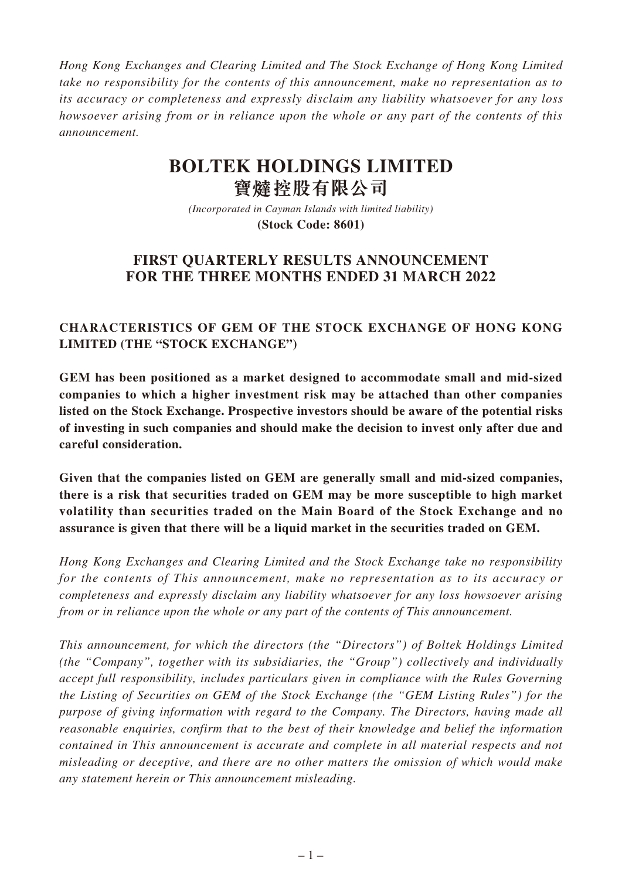*Hong Kong Exchanges and Clearing Limited and The Stock Exchange of Hong Kong Limited take no responsibility for the contents of this announcement, make no representation as to its accuracy or completeness and expressly disclaim any liability whatsoever for any loss howsoever arising from or in reliance upon the whole or any part of the contents of this announcement.*

# **BOLTEK HOLDINGS LIMITED 寶** 控股有限公司

*(Incorporated in Cayman Islands with limited liability)* **(Stock Code: 8601)**

# **FIRST QUARTERLY RESULTS ANNOUNCEMENT FOR THE THREE MONTHS ENDED 31 MARCH 2022**

# **CHARACTERISTICS OF GEM OF THE STOCK EXCHANGE OF HONG KONG LIMITED (THE "STOCK EXCHANGE")**

**GEM has been positioned as a market designed to accommodate small and mid-sized companies to which a higher investment risk may be attached than other companies listed on the Stock Exchange. Prospective investors should be aware of the potential risks of investing in such companies and should make the decision to invest only after due and careful consideration.**

**Given that the companies listed on GEM are generally small and mid-sized companies, there is a risk that securities traded on GEM may be more susceptible to high market volatility than securities traded on the Main Board of the Stock Exchange and no assurance is given that there will be a liquid market in the securities traded on GEM.**

*Hong Kong Exchanges and Clearing Limited and the Stock Exchange take no responsibility for the contents of This announcement, make no representation as to its accuracy or completeness and expressly disclaim any liability whatsoever for any loss howsoever arising from or in reliance upon the whole or any part of the contents of This announcement.*

*This announcement, for which the directors (the "Directors") of Boltek Holdings Limited (the "Company", together with its subsidiaries, the "Group") collectively and individually accept full responsibility, includes particulars given in compliance with the Rules Governing the Listing of Securities on GEM of the Stock Exchange (the "GEM Listing Rules") for the purpose of giving information with regard to the Company. The Directors, having made all reasonable enquiries, confirm that to the best of their knowledge and belief the information contained in This announcement is accurate and complete in all material respects and not misleading or deceptive, and there are no other matters the omission of which would make any statement herein or This announcement misleading.*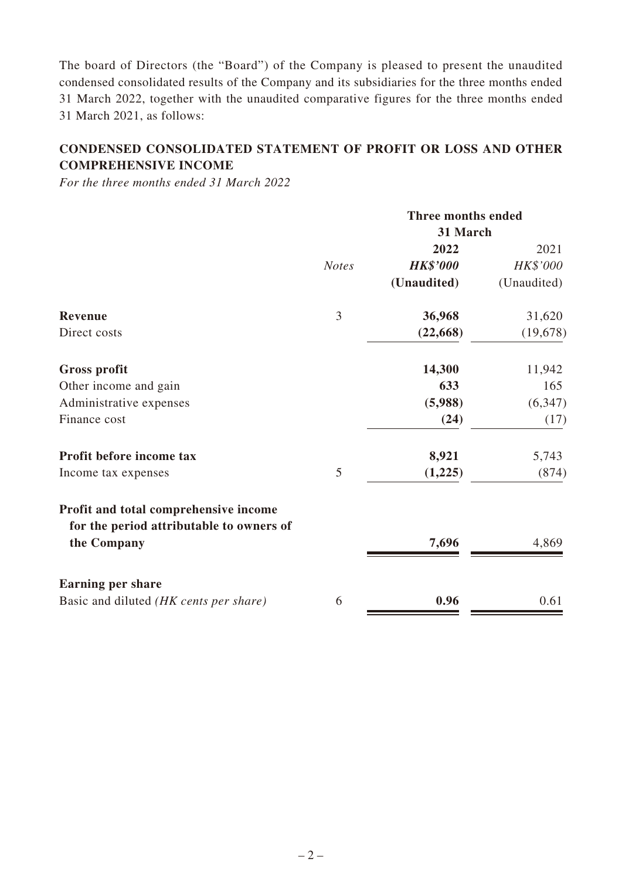The board of Directors (the "Board") of the Company is pleased to present the unaudited condensed consolidated results of the Company and its subsidiaries for the three months ended 31 March 2022, together with the unaudited comparative figures for the three months ended 31 March 2021, as follows:

# **CONDENSED CONSOLIDATED STATEMENT OF PROFIT OR LOSS AND OTHER COMPREHENSIVE INCOME**

*For the three months ended 31 March 2022*

|                                                                                   |              | <b>Three months ended</b> |             |  |
|-----------------------------------------------------------------------------------|--------------|---------------------------|-------------|--|
|                                                                                   |              | 31 March                  |             |  |
|                                                                                   |              | 2022                      | 2021        |  |
|                                                                                   | <b>Notes</b> | <b>HK\$'000</b>           | HK\$'000    |  |
|                                                                                   |              | (Unaudited)               | (Unaudited) |  |
| <b>Revenue</b>                                                                    | 3            | 36,968                    | 31,620      |  |
| Direct costs                                                                      |              | (22, 668)                 | (19, 678)   |  |
| <b>Gross profit</b>                                                               |              | 14,300                    | 11,942      |  |
| Other income and gain                                                             |              | 633                       | 165         |  |
| Administrative expenses                                                           |              | (5,988)                   | (6, 347)    |  |
| Finance cost                                                                      |              | (24)                      | (17)        |  |
| Profit before income tax                                                          |              | 8,921                     | 5,743       |  |
| Income tax expenses                                                               | 5            | (1,225)                   | (874)       |  |
| Profit and total comprehensive income<br>for the period attributable to owners of |              |                           |             |  |
| the Company                                                                       |              | 7,696                     | 4,869       |  |
| <b>Earning per share</b>                                                          |              |                           |             |  |
| Basic and diluted (HK cents per share)                                            | 6            | 0.96                      | 0.61        |  |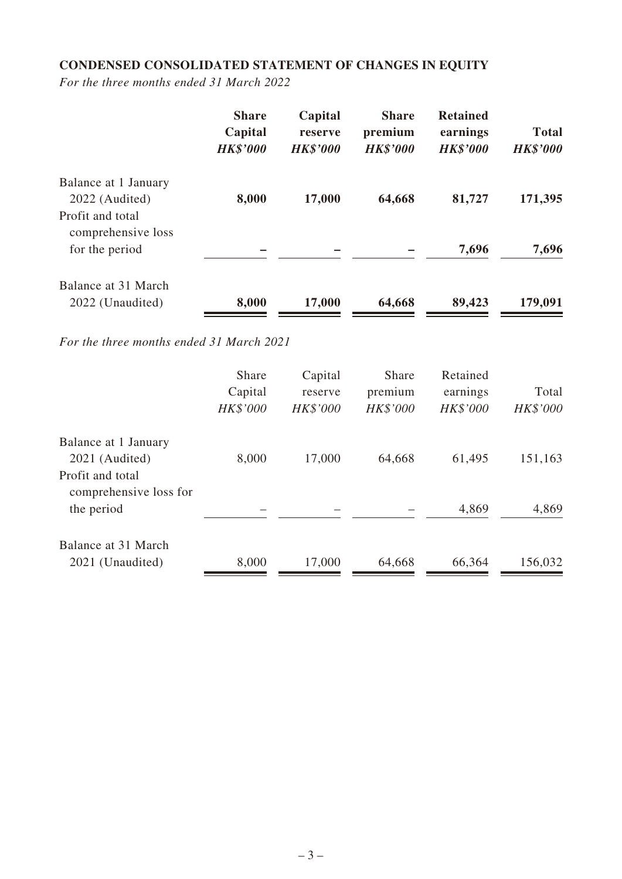# **CONDENSED CONSOLIDATED STATEMENT OF CHANGES IN EQUITY**

*For the three months ended 31 March 2022*

|                                         | <b>Share</b><br>Capital<br><b>HK\$'000</b> | Capital<br>reserve<br><b>HK\$'000</b> | <b>Share</b><br>premium<br><b>HK\$'000</b> | <b>Retained</b><br>earnings<br><b>HK\$'000</b> | <b>Total</b><br><b>HK\$'000</b> |
|-----------------------------------------|--------------------------------------------|---------------------------------------|--------------------------------------------|------------------------------------------------|---------------------------------|
| Balance at 1 January<br>2022 (Audited)  | 8,000                                      | 17,000                                | 64,668                                     | 81,727                                         | 171,395                         |
| Profit and total                        |                                            |                                       |                                            |                                                |                                 |
| comprehensive loss<br>for the period    |                                            |                                       |                                            | 7,696                                          | 7,696                           |
| Balance at 31 March<br>2022 (Unaudited) | 8,000                                      | 17,000                                | 64,668                                     | 89,423                                         | 179,091                         |

*For the three months ended 31 March 2021*

|                        | <b>Share</b> | Capital         | <b>Share</b> | Retained        |          |
|------------------------|--------------|-----------------|--------------|-----------------|----------|
|                        | Capital      | reserve         | premium      | earnings        | Total    |
|                        | HK\$'000     | <b>HK\$'000</b> | HK\$'000     | <b>HK\$'000</b> | HK\$'000 |
| Balance at 1 January   |              |                 |              |                 |          |
| 2021 (Audited)         | 8,000        | 17,000          | 64,668       | 61,495          | 151,163  |
| Profit and total       |              |                 |              |                 |          |
| comprehensive loss for |              |                 |              |                 |          |
| the period             |              |                 |              | 4,869           | 4,869    |
| Balance at 31 March    |              |                 |              |                 |          |
| 2021 (Unaudited)       | 8,000        | 17,000          | 64,668       | 66,364          | 156,032  |
|                        |              |                 |              |                 |          |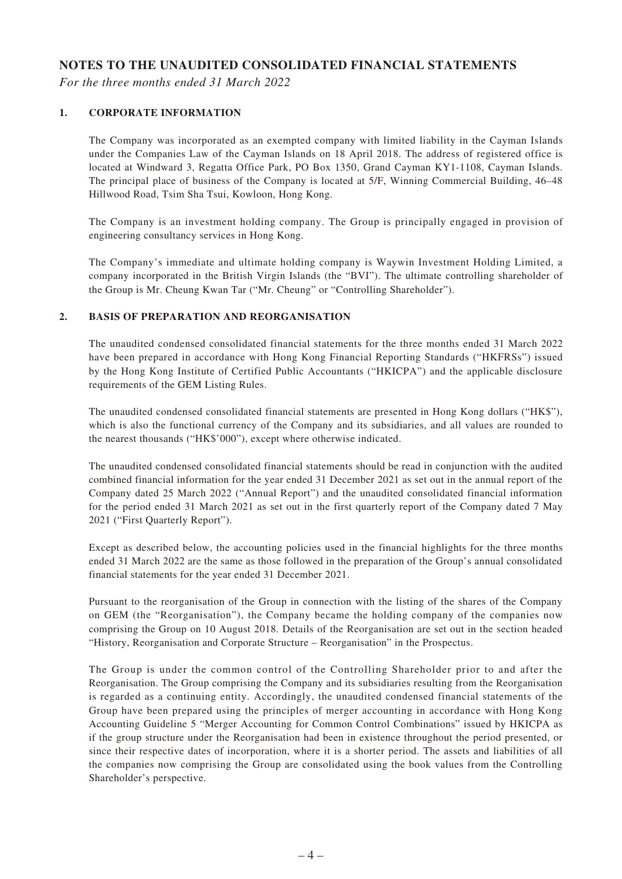#### **NOTES TO THE UNAUDITED CONSOLIDATED FINANCIAL STATEMENTS**

*For the three months ended 31 March 2022*

#### **1. CORPORATE INFORMATION**

The Company was incorporated as an exempted company with limited liability in the Cayman Islands under the Companies Law of the Cayman Islands on 18 April 2018. The address of registered office is located at Windward 3, Regatta Office Park, PO Box 1350, Grand Cayman KY1-1108, Cayman Islands. The principal place of business of the Company is located at 5/F, Winning Commercial Building, 46–48 Hillwood Road, Tsim Sha Tsui, Kowloon, Hong Kong.

The Company is an investment holding company. The Group is principally engaged in provision of engineering consultancy services in Hong Kong.

The Company's immediate and ultimate holding company is Waywin Investment Holding Limited, a company incorporated in the British Virgin Islands (the "BVI"). The ultimate controlling shareholder of the Group is Mr. Cheung Kwan Tar ("Mr. Cheung" or "Controlling Shareholder").

#### **2. BASIS OF PREPARATION AND REORGANISATION**

The unaudited condensed consolidated financial statements for the three months ended 31 March 2022 have been prepared in accordance with Hong Kong Financial Reporting Standards ("HKFRSs") issued by the Hong Kong Institute of Certified Public Accountants ("HKICPA") and the applicable disclosure requirements of the GEM Listing Rules.

The unaudited condensed consolidated financial statements are presented in Hong Kong dollars ("HK\$"), which is also the functional currency of the Company and its subsidiaries, and all values are rounded to the nearest thousands ("HK\$'000"), except where otherwise indicated.

The unaudited condensed consolidated financial statements should be read in conjunction with the audited combined financial information for the year ended 31 December 2021 as set out in the annual report of the Company dated 25 March 2022 ("Annual Report") and the unaudited consolidated financial information for the period ended 31 March 2021 as set out in the first quarterly report of the Company dated 7 May 2021 ("First Quarterly Report").

Except as described below, the accounting policies used in the financial highlights for the three months ended 31 March 2022 are the same as those followed in the preparation of the Group's annual consolidated financial statements for the year ended 31 December 2021.

Pursuant to the reorganisation of the Group in connection with the listing of the shares of the Company on GEM (the "Reorganisation"), the Company became the holding company of the companies now comprising the Group on 10 August 2018. Details of the Reorganisation are set out in the section headed "History, Reorganisation and Corporate Structure – Reorganisation" in the Prospectus.

The Group is under the common control of the Controlling Shareholder prior to and after the Reorganisation. The Group comprising the Company and its subsidiaries resulting from the Reorganisation is regarded as a continuing entity. Accordingly, the unaudited condensed financial statements of the Group have been prepared using the principles of merger accounting in accordance with Hong Kong Accounting Guideline 5 "Merger Accounting for Common Control Combinations" issued by HKICPA as if the group structure under the Reorganisation had been in existence throughout the period presented, or since their respective dates of incorporation, where it is a shorter period. The assets and liabilities of all the companies now comprising the Group are consolidated using the book values from the Controlling Shareholder's perspective.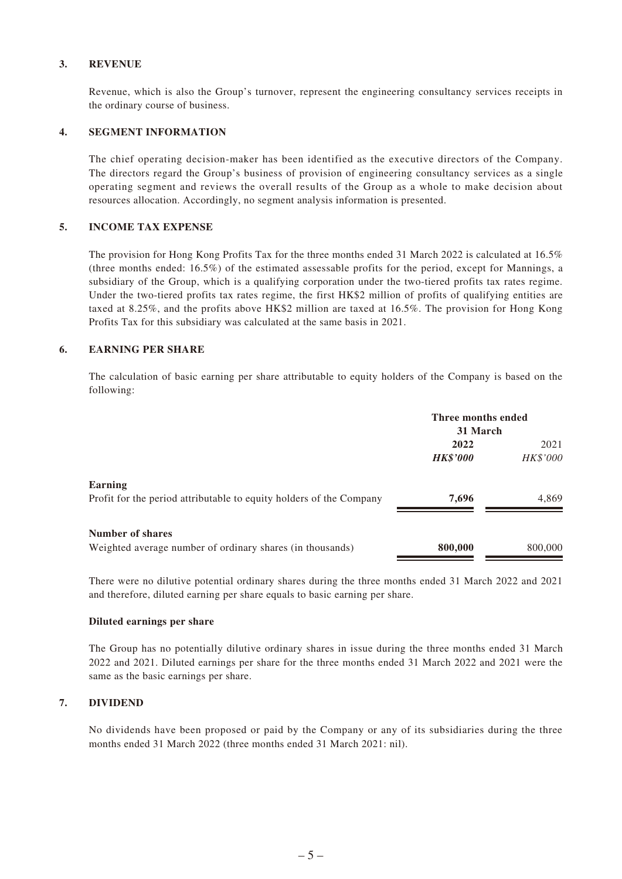#### **3. REVENUE**

Revenue, which is also the Group's turnover, represent the engineering consultancy services receipts in the ordinary course of business.

#### **4. SEGMENT INFORMATION**

The chief operating decision-maker has been identified as the executive directors of the Company. The directors regard the Group's business of provision of engineering consultancy services as a single operating segment and reviews the overall results of the Group as a whole to make decision about resources allocation. Accordingly, no segment analysis information is presented.

#### **5. INCOME TAX EXPENSE**

The provision for Hong Kong Profits Tax for the three months ended 31 March 2022 is calculated at 16.5% (three months ended: 16.5%) of the estimated assessable profits for the period, except for Mannings, a subsidiary of the Group, which is a qualifying corporation under the two-tiered profits tax rates regime. Under the two-tiered profits tax rates regime, the first HK\$2 million of profits of qualifying entities are taxed at 8.25%, and the profits above HK\$2 million are taxed at 16.5%. The provision for Hong Kong Profits Tax for this subsidiary was calculated at the same basis in 2021.

#### **6. EARNING PER SHARE**

The calculation of basic earning per share attributable to equity holders of the Company is based on the following:

|                                                                                | Three months ended |          |  |
|--------------------------------------------------------------------------------|--------------------|----------|--|
|                                                                                | 31 March           |          |  |
|                                                                                | 2022               | 2021     |  |
|                                                                                | <b>HK\$'000</b>    | HK\$'000 |  |
| Earning<br>Profit for the period attributable to equity holders of the Company | 7,696              | 4,869    |  |
|                                                                                |                    |          |  |
| <b>Number of shares</b>                                                        |                    |          |  |
| Weighted average number of ordinary shares (in thousands)                      | 800,000            | 800,000  |  |

There were no dilutive potential ordinary shares during the three months ended 31 March 2022 and 2021 and therefore, diluted earning per share equals to basic earning per share.

#### **Diluted earnings per share**

The Group has no potentially dilutive ordinary shares in issue during the three months ended 31 March 2022 and 2021. Diluted earnings per share for the three months ended 31 March 2022 and 2021 were the same as the basic earnings per share.

#### **7. DIVIDEND**

No dividends have been proposed or paid by the Company or any of its subsidiaries during the three months ended 31 March 2022 (three months ended 31 March 2021: nil).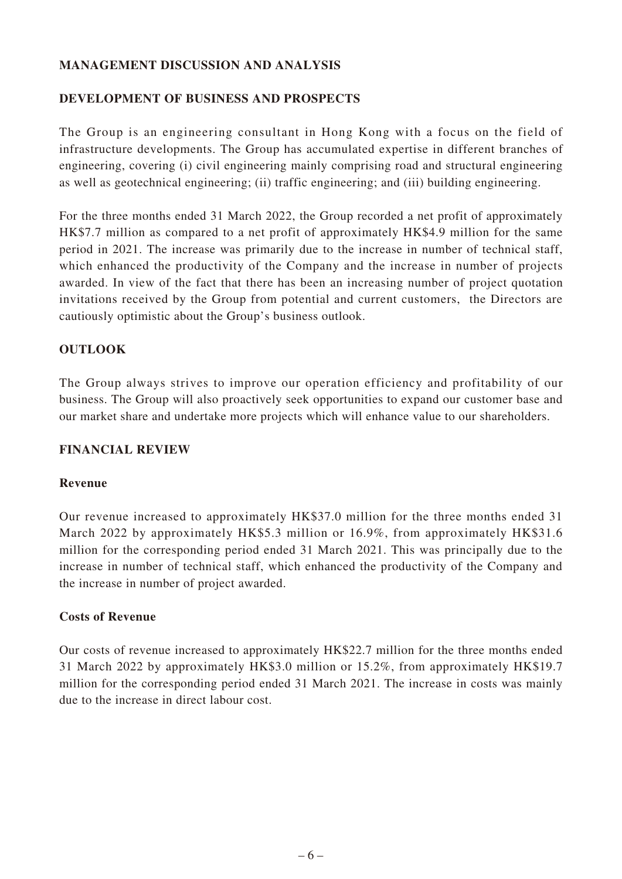### **MANAGEMENT DISCUSSION AND ANALYSIS**

### **DEVELOPMENT OF BUSINESS AND PROSPECTS**

The Group is an engineering consultant in Hong Kong with a focus on the field of infrastructure developments. The Group has accumulated expertise in different branches of engineering, covering (i) civil engineering mainly comprising road and structural engineering as well as geotechnical engineering; (ii) traffic engineering; and (iii) building engineering.

For the three months ended 31 March 2022, the Group recorded a net profit of approximately HK\$7.7 million as compared to a net profit of approximately HK\$4.9 million for the same period in 2021. The increase was primarily due to the increase in number of technical staff, which enhanced the productivity of the Company and the increase in number of projects awarded. In view of the fact that there has been an increasing number of project quotation invitations received by the Group from potential and current customers, the Directors are cautiously optimistic about the Group's business outlook.

### **OUTLOOK**

The Group always strives to improve our operation efficiency and profitability of our business. The Group will also proactively seek opportunities to expand our customer base and our market share and undertake more projects which will enhance value to our shareholders.

### **FINANCIAL REVIEW**

### **Revenue**

Our revenue increased to approximately HK\$37.0 million for the three months ended 31 March 2022 by approximately HK\$5.3 million or 16.9%, from approximately HK\$31.6 million for the corresponding period ended 31 March 2021. This was principally due to the increase in number of technical staff, which enhanced the productivity of the Company and the increase in number of project awarded.

### **Costs of Revenue**

Our costs of revenue increased to approximately HK\$22.7 million for the three months ended 31 March 2022 by approximately HK\$3.0 million or 15.2%, from approximately HK\$19.7 million for the corresponding period ended 31 March 2021. The increase in costs was mainly due to the increase in direct labour cost.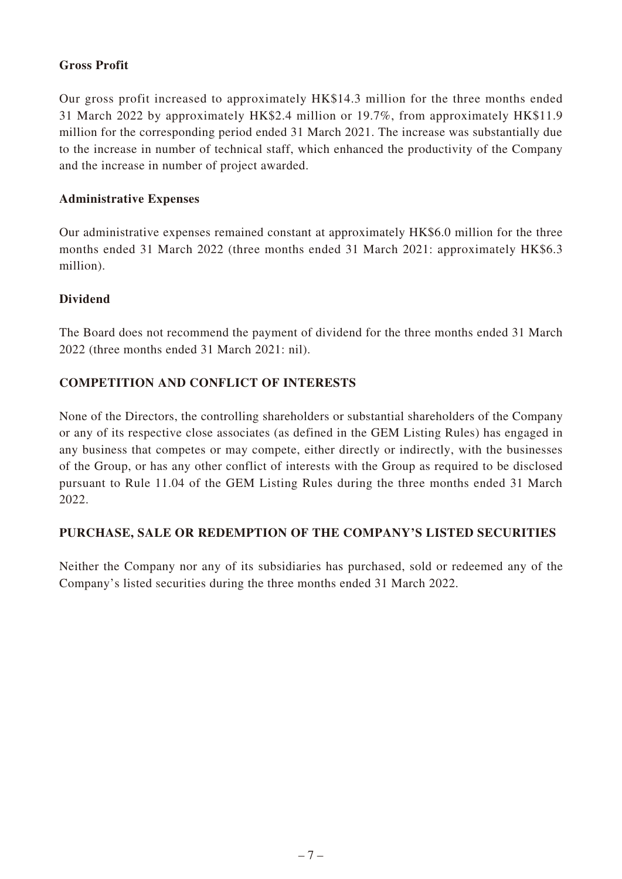### **Gross Profit**

Our gross profit increased to approximately HK\$14.3 million for the three months ended 31 March 2022 by approximately HK\$2.4 million or 19.7%, from approximately HK\$11.9 million for the corresponding period ended 31 March 2021. The increase was substantially due to the increase in number of technical staff, which enhanced the productivity of the Company and the increase in number of project awarded.

### **Administrative Expenses**

Our administrative expenses remained constant at approximately HK\$6.0 million for the three months ended 31 March 2022 (three months ended 31 March 2021: approximately HK\$6.3 million).

### **Dividend**

The Board does not recommend the payment of dividend for the three months ended 31 March 2022 (three months ended 31 March 2021: nil).

# **COMPETITION AND CONFLICT OF INTERESTS**

None of the Directors, the controlling shareholders or substantial shareholders of the Company or any of its respective close associates (as defined in the GEM Listing Rules) has engaged in any business that competes or may compete, either directly or indirectly, with the businesses of the Group, or has any other conflict of interests with the Group as required to be disclosed pursuant to Rule 11.04 of the GEM Listing Rules during the three months ended 31 March 2022.

# **PURCHASE, SALE OR REDEMPTION OF THE COMPANY'S LISTED SECURITIES**

Neither the Company nor any of its subsidiaries has purchased, sold or redeemed any of the Company's listed securities during the three months ended 31 March 2022.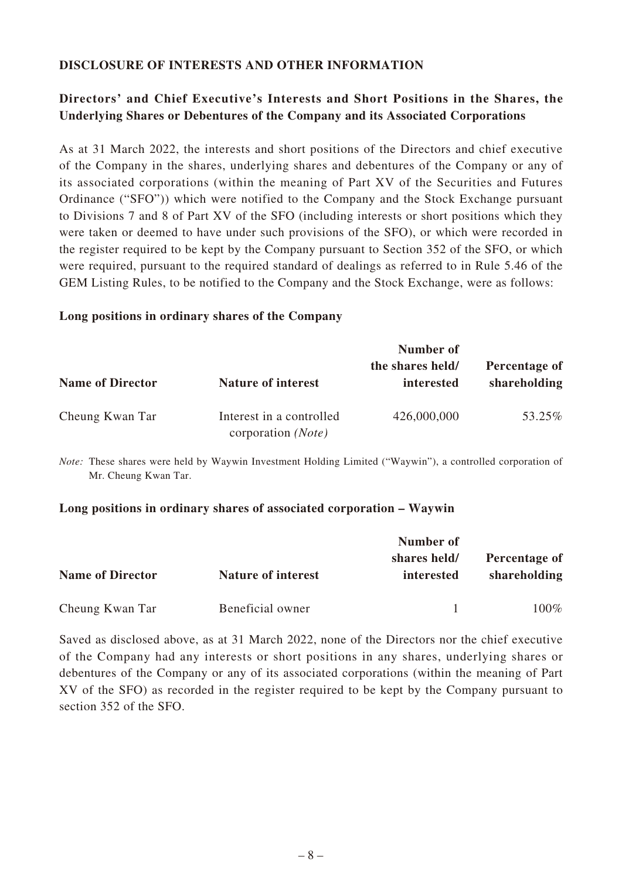### **DISCLOSURE OF INTERESTS AND OTHER INFORMATION**

# **Directors' and Chief Executive's Interests and Short Positions in the Shares, the Underlying Shares or Debentures of the Company and its Associated Corporations**

As at 31 March 2022, the interests and short positions of the Directors and chief executive of the Company in the shares, underlying shares and debentures of the Company or any of its associated corporations (within the meaning of Part XV of the Securities and Futures Ordinance ("SFO")) which were notified to the Company and the Stock Exchange pursuant to Divisions 7 and 8 of Part XV of the SFO (including interests or short positions which they were taken or deemed to have under such provisions of the SFO), or which were recorded in the register required to be kept by the Company pursuant to Section 352 of the SFO, or which were required, pursuant to the required standard of dealings as referred to in Rule 5.46 of the GEM Listing Rules, to be notified to the Company and the Stock Exchange, were as follows:

#### **Long positions in ordinary shares of the Company**

|                         |                                                | Number of                      |                               |  |
|-------------------------|------------------------------------------------|--------------------------------|-------------------------------|--|
| <b>Name of Director</b> | <b>Nature of interest</b>                      | the shares held/<br>interested | Percentage of<br>shareholding |  |
| Cheung Kwan Tar         | Interest in a controlled<br>corporation (Note) | 426,000,000                    | 53.25%                        |  |

*Note:* These shares were held by Waywin Investment Holding Limited ("Waywin"), a controlled corporation of Mr. Cheung Kwan Tar.

#### **Long positions in ordinary shares of associated corporation – Waywin**

|                         |                           | Number of                  |                               |  |
|-------------------------|---------------------------|----------------------------|-------------------------------|--|
| <b>Name of Director</b> | <b>Nature of interest</b> | shares held/<br>interested | Percentage of<br>shareholding |  |
| Cheung Kwan Tar         | Beneficial owner          |                            | 100%                          |  |

Saved as disclosed above, as at 31 March 2022, none of the Directors nor the chief executive of the Company had any interests or short positions in any shares, underlying shares or debentures of the Company or any of its associated corporations (within the meaning of Part XV of the SFO) as recorded in the register required to be kept by the Company pursuant to section 352 of the SFO.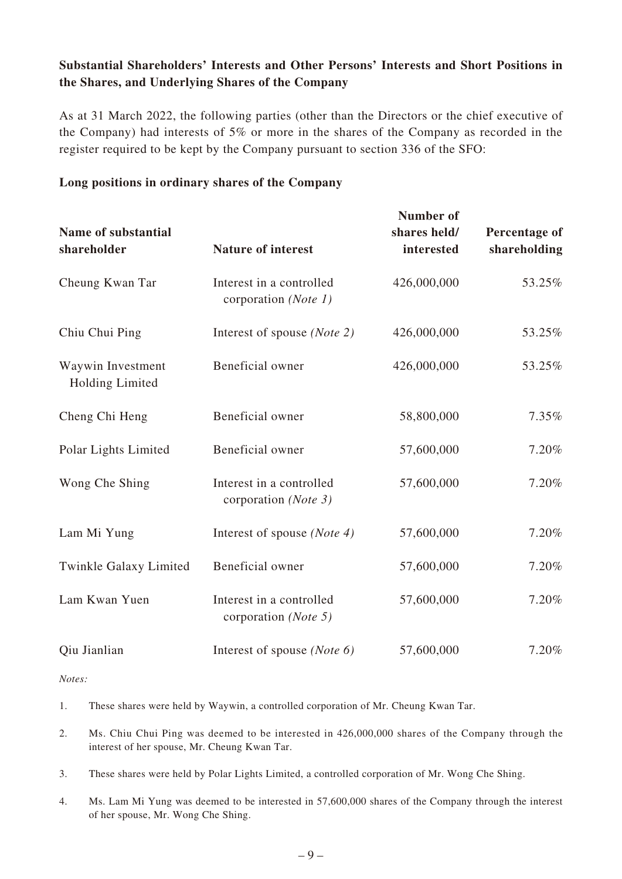# **Substantial Shareholders' Interests and Other Persons' Interests and Short Positions in the Shares, and Underlying Shares of the Company**

As at 31 March 2022, the following parties (other than the Directors or the chief executive of the Company) had interests of 5% or more in the shares of the Company as recorded in the register required to be kept by the Company pursuant to section 336 of the SFO:

### **Long positions in ordinary shares of the Company**

| Name of substantial<br>shareholder          | <b>Nature of interest</b>                                | <b>Number of</b><br>shares held/<br>interested | Percentage of<br>shareholding |
|---------------------------------------------|----------------------------------------------------------|------------------------------------------------|-------------------------------|
| Cheung Kwan Tar                             | Interest in a controlled<br>corporation (Note 1)         | 426,000,000                                    | 53.25%                        |
| Chiu Chui Ping                              | Interest of spouse (Note 2)                              | 426,000,000                                    | 53.25%                        |
| Waywin Investment<br><b>Holding Limited</b> | Beneficial owner                                         | 426,000,000                                    | 53.25%                        |
| Cheng Chi Heng                              | Beneficial owner                                         | 58,800,000                                     | 7.35%                         |
| Polar Lights Limited                        | Beneficial owner                                         | 57,600,000                                     | 7.20%                         |
| Wong Che Shing                              | Interest in a controlled<br>corporation (Note 3)         | 57,600,000                                     | 7.20%                         |
| Lam Mi Yung                                 | Interest of spouse ( <i>Note 4</i> )                     | 57,600,000                                     | 7.20%                         |
| Twinkle Galaxy Limited                      | Beneficial owner                                         | 57,600,000                                     | 7.20%                         |
| Lam Kwan Yuen                               | Interest in a controlled<br>corporation ( <i>Note</i> 5) | 57,600,000                                     | 7.20%                         |
| Qiu Jianlian                                | Interest of spouse ( <i>Note</i> $6$ )                   | 57,600,000                                     | 7.20%                         |

*Notes:*

1. These shares were held by Waywin, a controlled corporation of Mr. Cheung Kwan Tar.

- 2. Ms. Chiu Chui Ping was deemed to be interested in 426,000,000 shares of the Company through the interest of her spouse, Mr. Cheung Kwan Tar.
- 3. These shares were held by Polar Lights Limited, a controlled corporation of Mr. Wong Che Shing.
- 4. Ms. Lam Mi Yung was deemed to be interested in 57,600,000 shares of the Company through the interest of her spouse, Mr. Wong Che Shing.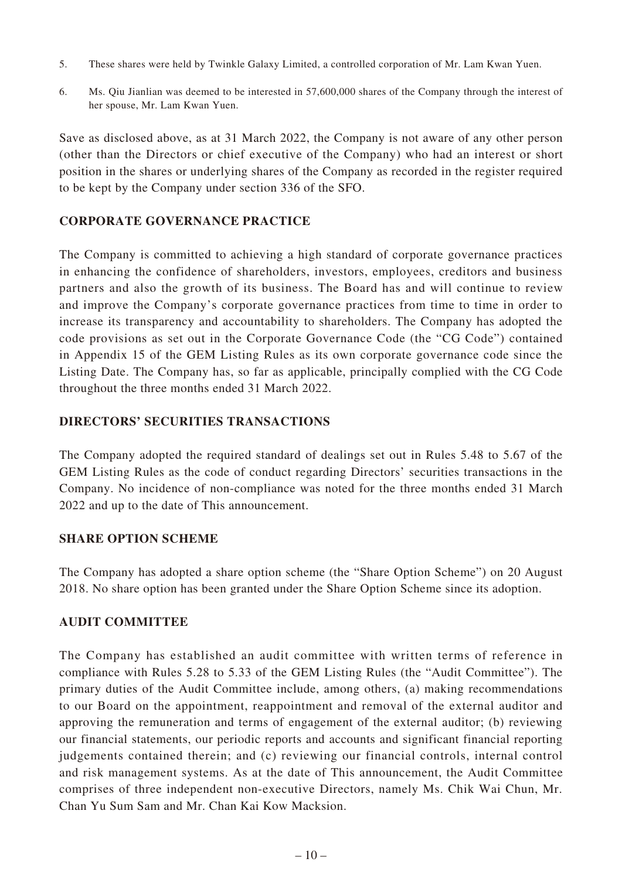- 5. These shares were held by Twinkle Galaxy Limited, a controlled corporation of Mr. Lam Kwan Yuen.
- 6. Ms. Qiu Jianlian was deemed to be interested in 57,600,000 shares of the Company through the interest of her spouse, Mr. Lam Kwan Yuen.

Save as disclosed above, as at 31 March 2022, the Company is not aware of any other person (other than the Directors or chief executive of the Company) who had an interest or short position in the shares or underlying shares of the Company as recorded in the register required to be kept by the Company under section 336 of the SFO.

### **CORPORATE GOVERNANCE PRACTICE**

The Company is committed to achieving a high standard of corporate governance practices in enhancing the confidence of shareholders, investors, employees, creditors and business partners and also the growth of its business. The Board has and will continue to review and improve the Company's corporate governance practices from time to time in order to increase its transparency and accountability to shareholders. The Company has adopted the code provisions as set out in the Corporate Governance Code (the "CG Code") contained in Appendix 15 of the GEM Listing Rules as its own corporate governance code since the Listing Date. The Company has, so far as applicable, principally complied with the CG Code throughout the three months ended 31 March 2022.

### **DIRECTORS' SECURITIES TRANSACTIONS**

The Company adopted the required standard of dealings set out in Rules 5.48 to 5.67 of the GEM Listing Rules as the code of conduct regarding Directors' securities transactions in the Company. No incidence of non-compliance was noted for the three months ended 31 March 2022 and up to the date of This announcement.

### **SHARE OPTION SCHEME**

The Company has adopted a share option scheme (the "Share Option Scheme") on 20 August 2018. No share option has been granted under the Share Option Scheme since its adoption.

### **AUDIT COMMITTEE**

The Company has established an audit committee with written terms of reference in compliance with Rules 5.28 to 5.33 of the GEM Listing Rules (the "Audit Committee"). The primary duties of the Audit Committee include, among others, (a) making recommendations to our Board on the appointment, reappointment and removal of the external auditor and approving the remuneration and terms of engagement of the external auditor; (b) reviewing our financial statements, our periodic reports and accounts and significant financial reporting judgements contained therein; and (c) reviewing our financial controls, internal control and risk management systems. As at the date of This announcement, the Audit Committee comprises of three independent non-executive Directors, namely Ms. Chik Wai Chun, Mr. Chan Yu Sum Sam and Mr. Chan Kai Kow Macksion.